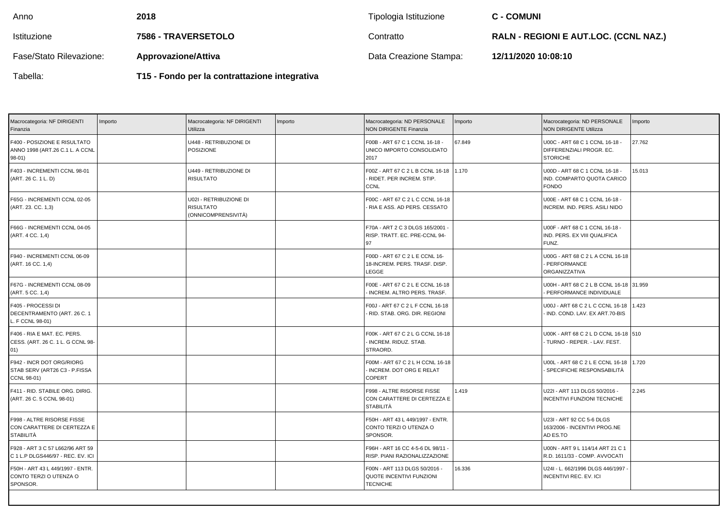| Anno                    | 2018                                          | Tipologia Istituzione  | <b>C - COMUNI</b>                            |
|-------------------------|-----------------------------------------------|------------------------|----------------------------------------------|
| Istituzione             | 7586 - TRAVERSETOLO                           | Contratto              | <b>RALN - REGIONI E AUT.LOC. (CCNL NAZ.)</b> |
| Fase/Stato Rilevazione: | <b>Approvazione/Attiva</b>                    | Data Creazione Stampa: | 12/11/2020 10:08:10                          |
| Tabella:                | T15 - Fondo per la contrattazione integrativa |                        |                                              |

| Macrocategoria: NF DIRIGENTI<br>Finanzia                                  | Importo | Macrocategoria: NF DIRIGENTI<br>Utilizza                          | Importo | Macrocategoria: ND PERSONALE<br>NON DIRIGENTE Finanzia                              | Importo | Macrocategoria: ND PERSONALE<br><b>NON DIRIGENTE Utilizza</b>                 | mporto |
|---------------------------------------------------------------------------|---------|-------------------------------------------------------------------|---------|-------------------------------------------------------------------------------------|---------|-------------------------------------------------------------------------------|--------|
| F400 - POSIZIONE E RISULTATO<br>ANNO 1998 (ART.26 C.1 L. A CCNL<br>98-01) |         | U448 - RETRIBUZIONE DI<br><b>POSIZIONE</b>                        |         | F00B - ART 67 C 1 CCNL 16-18 -<br>UNICO IMPORTO CONSOLIDATO<br>2017                 | 67.849  | U00C - ART 68 C 1 CCNL 16-18 -<br>DIFFERENZIALI PROGR. EC.<br><b>STORICHE</b> | 27.762 |
| F403 - INCREMENTI CCNL 98-01<br>(ART. 26 C. 1 L. D)                       |         | U449 - RETRIBUZIONE DI<br><b>RISULTATO</b>                        |         | F00Z - ART 67 C 2 L B CCNL 16-18 1.170<br>- RIDET. PER INCREM. STIP.<br><b>CCNL</b> |         | U00D - ART 68 C 1 CCNL 16-18 -<br>IND. COMPARTO QUOTA CARICO<br><b>FONDO</b>  | 15.013 |
| F65G - INCREMENTI CCNL 02-05<br>(ART. 23. CC. 1,3)                        |         | U02I - RETRIBUZIONE DI<br><b>RISULTATO</b><br>(ONNICOMPRENSIVITÀ) |         | F00C - ART 67 C 2 L C CCNL 16-18<br>- RIA E ASS. AD PERS. CESSATO                   |         | U00E - ART 68 C 1 CCNL 16-18 -<br>INCREM. IND. PERS. ASILI NIDO               |        |
| F66G - INCREMENTI CCNL 04-05<br>(ART. 4 CC. 1,4)                          |         |                                                                   |         | F70A - ART 2 C 3 DLGS 165/2001<br>RISP. TRATT. EC. PRE-CCNL 94-<br>97               |         | U00F - ART 68 C 1 CCNL 16-18 -<br>IND. PERS. EX VIII QUALIFICA<br>FUNZ.       |        |
| F940 - INCREMENTI CCNL 06-09<br>(ART. 16 CC. 1,4)                         |         |                                                                   |         | F00D - ART 67 C 2 L E CCNL 16-<br>18-INCREM. PERS. TRASF. DISP.<br>LEGGE            |         | U00G - ART 68 C 2 L A CCNL 16-18<br>- PERFORMANCE<br>ORGANIZZATIVA            |        |
| F67G - INCREMENTI CCNL 08-09<br>(ART. 5 CC. 1,4)                          |         |                                                                   |         | F00E - ART 67 C 2 L E CCNL 16-18<br>- INCREM. ALTRO PERS. TRASF.                    |         | U00H - ART 68 C 2 L B CCNL 16-18 31.959<br>PERFORMANCE INDIVIDUALE            |        |
| F405 - PROCESSI DI<br>DECENTRAMENTO (ART. 26 C. 1<br>L. F CCNL 98-01)     |         |                                                                   |         | F00J - ART 67 C 2 L F CCNL 16-18<br>- RID. STAB. ORG. DIR. REGIONI                  |         | U00J - ART 68 C 2 L C CCNL 16-18   1.423<br>- IND. COND. LAV. EX ART.70-BIS   |        |
| F406 - RIA E MAT. EC. PERS.<br>CESS. (ART. 26 C. 1 L. G CCNL 98-<br>01)   |         |                                                                   |         | F00K - ART 67 C 2 L G CCNL 16-18<br>- INCREM. RIDUZ. STAB.<br>STRAORD.              |         | U00K - ART 68 C 2 L D CCNL 16-18 510<br>- TURNO - REPER. - LAV. FEST.         |        |
| F942 - INCR DOT ORG/RIORG<br>STAB SERV (ART26 C3 - P.FISSA<br>CCNL 98-01) |         |                                                                   |         | F00M - ART 67 C 2 L H CCNL 16-18<br>INCREM. DOT ORG E RELAT<br><b>COPERT</b>        |         | U00L - ART 68 C 2 L E CCNL 16-18   1.720<br>- SPECIFICHE RESPONSABILITÀ       |        |
| F411 - RID. STABILE ORG. DIRIG.<br>(ART. 26 C. 5 CCNL 98-01)              |         |                                                                   |         | F998 - ALTRE RISORSE FISSE<br>CON CARATTERE DI CERTEZZA E<br><b>STABILITÀ</b>       | 1.419   | U22I - ART 113 DLGS 50/2016 -<br><b>INCENTIVI FUNZIONI TECNICHE</b>           | 2.245  |
| F998 - ALTRE RISORSE FISSE<br>CON CARATTERE DI CERTEZZA E<br>STABILITÀ    |         |                                                                   |         | F50H - ART 43 L 449/1997 - ENTR.<br>CONTO TERZI O UTENZA O<br>SPONSOR.              |         | U23I - ART 92 CC 5-6 DLGS<br>163/2006 - INCENTIVI PROG.NE<br>AD ES.TO         |        |
| F928 - ART 3 C 57 L662/96 ART 59<br>C 1 L.P DLGS446/97 - REC. EV. ICI     |         |                                                                   |         | F96H - ART 16 CC 4-5-6 DL 98/11 -<br>RISP. PIANI RAZIONALIZZAZIONE                  |         | U00N - ART 9 L 114/14 ART 21 C 1<br>R.D. 1611/33 - COMP. AVVOCATI             |        |
| F50H - ART 43 L 449/1997 - ENTR.<br>CONTO TERZI O UTENZA O<br>SPONSOR.    |         |                                                                   |         | F00N - ART 113 DLGS 50/2016 -<br>QUOTE INCENTIVI FUNZIONI<br><b>TECNICHE</b>        | 16.336  | U24I - L. 662/1996 DLGS 446/1997<br><b>INCENTIVI REC. EV. ICI</b>             |        |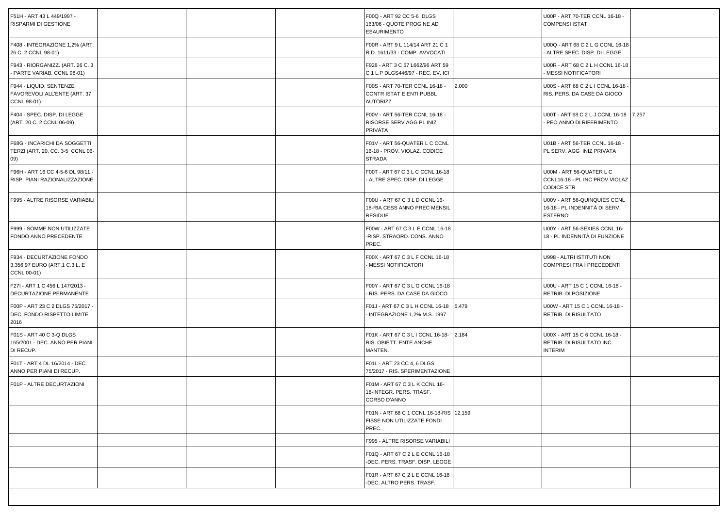| F51H - ART 43 L 449/1997 -<br>RISPARMI DI GESTIONE                        |  |  | F00Q - ART 92 CC 5-6 DLGS<br>163/06 - QUOTE PROG.NE AD<br><b>ESAURIMENTO</b>     |       | U00P - ART 70-TER CCNL 16-18 -<br><b>COMPENSI ISTAT</b>                         |  |  |  |  |
|---------------------------------------------------------------------------|--|--|----------------------------------------------------------------------------------|-------|---------------------------------------------------------------------------------|--|--|--|--|
| F408 - INTEGRAZIONE 1,2% (ART.<br>26 C. 2 CCNL 98-01)                     |  |  | F00R - ART 9 L 114/14 ART 21 C 1<br>R.D. 1611/33 - COMP. AVVOCATI                |       | U00Q - ART 68 C 2 L G CCNL 16-18<br>ALTRE SPEC. DISP. DI LEGGE                  |  |  |  |  |
| F943 - RIORGANIZZ. (ART. 26 C. 3<br>- PARTE VARIAB. CCNL 98-01)           |  |  | F928 - ART 3 C 57 L662/96 ART 59<br>C 1 L.P DLGS446/97 - REC. EV. ICI            |       | U00R - ART 68 C 2 L H CCNL 16-18<br><b>MESSI NOTIFICATORI</b>                   |  |  |  |  |
| F944 - LIQUID. SENTENZE<br>FAVOREVOLI ALL'ENTE (ART. 37<br>CCNL 98-01)    |  |  | F00S - ART 70-TER CCNL 16-18 -<br>CONTR ISTAT E ENTI PUBBL<br><b>AUTORIZZ</b>    | 2.000 | U00S - ART 68 C 2 L I CCNL 16-18<br>RIS. PERS. DA CASE DA GIOCO                 |  |  |  |  |
| F404 - SPEC. DISP. DI LEGGE<br>(ART. 20 C. 2 CCNL 06-09)                  |  |  | F00V - ART 56-TER CCNL 16-18 -<br>RISORSE SERV AGG PL INIZ<br>PRIVATA            |       | U00T - ART 68 C 2 L J CCNL 16-18 7.257<br>PEO ANNO DI RIFERIMENTO               |  |  |  |  |
| F68G - INCARICHI DA SOGGETTI<br>TERZI (ART. 20, CC. 3-5 CCNL 06-<br>09)   |  |  | F01V - ART 56-QUATER L C CCNL<br>16-18 - PROV. VIOLAZ. CODICE<br><b>STRADA</b>   |       | U01B - ART 56-TER CCNL 16-18 -<br>PL SERV. AGG INIZ PRIVATA                     |  |  |  |  |
| F96H - ART 16 CC 4-5-6 DL 98/11 -<br>RISP. PIANI RAZIONALIZZAZIONE        |  |  | F00T - ART 67 C 3 L C CCNL 16-18<br>ALTRE SPEC. DISP. DI LEGGE                   |       | U00M - ART 56-QUATER L C<br>CCNL16-18 - PL INC PROV VIOLAZ<br><b>CODICE STR</b> |  |  |  |  |
| F995 - ALTRE RISORSE VARIABILI                                            |  |  | F00U - ART 67 C 3 L D CCNL 16-<br>18-RIA CESS ANNO PREC MENSIL<br><b>RESIDUE</b> |       | U00V - ART 56-QUINQUIES CCNL<br>16-18 - PL INDENNITÀ DI SERV.<br><b>ESTERNO</b> |  |  |  |  |
| F999 - SOMME NON UTILIZZATE<br>FONDO ANNO PRECEDENTE                      |  |  | F00W - ART 67 C 3 L E CCNL 16-18<br>-RISP. STRAORD. CONS. ANNO<br>PREC.          |       | U00Y - ART 56-SEXIES CCNL 16-<br>18 - PL INDENNITÀ DI FUNZIONE                  |  |  |  |  |
| F934 - DECURTAZIONE FONDO<br>3.356,97 EURO (ART.1 C.3 L. E<br>CCNL 00-01) |  |  | F00X - ART 67 C 3 L F CCNL 16-18<br>MESSI NOTIFICATORI                           |       | U998 - ALTRI ISTITUTI NON<br>COMPRESI FRA I PRECEDENTI                          |  |  |  |  |
| F27I - ART 1 C 456 L 147/2013 -<br>DECURTAZIONE PERMANENTE                |  |  | F00Y - ART 67 C 3 L G CCNL 16-18<br>RIS. PERS. DA CASE DA GIOCO                  |       | U00U - ART 15 C 1 CCNL 16-18 -<br>RETRIB. DI POSIZIONE                          |  |  |  |  |
| F00P - ART 23 C 2 DLGS 75/2017 -<br>DEC. FONDO RISPETTO LIMITE<br>2016    |  |  | F01J - ART 67 C 3 L H CCNL 16-18 5.479<br>INTEGRAZIONE 1,2% M.S. 1997            |       | U00W - ART 15 C 1 CCNL 16-18 -<br>RETRIB. DI RISULTATO                          |  |  |  |  |
| F01S - ART 40 C 3-Q DLGS<br>165/2001 - DEC. ANNO PER PIANI<br>DI RECUP.   |  |  | F01K - ART 67 C 3 L I CCNL 16-18- 2.184<br>RIS. OBIETT. ENTE ANCHE<br>MANTEN.    |       | U00X - ART 15 C 6 CCNL 16-18 -<br>RETRIB. DI RISULTATO INC.<br><b>INTERIM</b>   |  |  |  |  |
| F01T - ART 4 DL 16/2014 - DEC.<br>ANNO PER PIANI DI RECUP.                |  |  | F01L - ART 23 CC 4, 6 DLGS<br>75/2017 - RIS. SPERIMENTAZIONE                     |       |                                                                                 |  |  |  |  |
| F01P - ALTRE DECURTAZIONI                                                 |  |  | F01M - ART 67 C 3 L K CCNL 16-<br>18-INTEGR. PERS. TRASF.<br>CORSO D'ANNO        |       |                                                                                 |  |  |  |  |
|                                                                           |  |  | F01N - ART 68 C 1 CCNL 16-18-RIS 12.159<br>FISSE NON UTILIZZATE FONDI<br>PREC.   |       |                                                                                 |  |  |  |  |
|                                                                           |  |  | F995 - ALTRE RISORSE VARIABILI                                                   |       |                                                                                 |  |  |  |  |
|                                                                           |  |  | F01Q - ART 67 C 2 L E CCNL 16-18<br>-DEC. PERS. TRASF. DISP. LEGGE               |       |                                                                                 |  |  |  |  |
|                                                                           |  |  | F01R - ART 67 C 2 L E CCNL 16-18<br>-DEC. ALTRO PERS. TRASF.                     |       |                                                                                 |  |  |  |  |
|                                                                           |  |  |                                                                                  |       |                                                                                 |  |  |  |  |